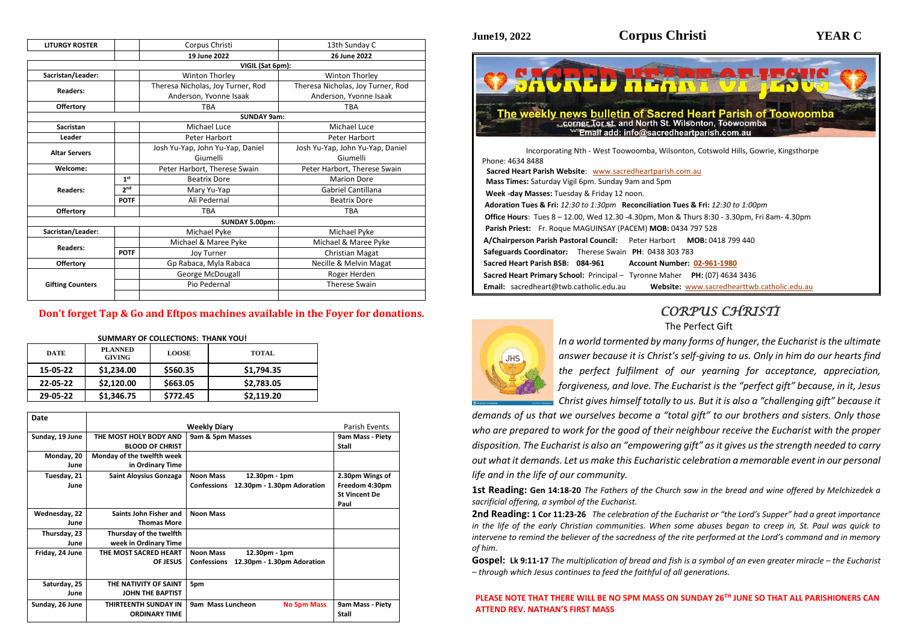| <b>LITURGY ROSTER</b>   |                 | Corpus Christi                          | 13th Sunday C                     |  |  |  |
|-------------------------|-----------------|-----------------------------------------|-----------------------------------|--|--|--|
|                         |                 | 19 June 2022                            | 26 June 2022                      |  |  |  |
| VIGIL (Sat 6pm):        |                 |                                         |                                   |  |  |  |
| Sacristan/Leader:       |                 | Winton Thorley<br><b>Winton Thorley</b> |                                   |  |  |  |
| <b>Readers:</b>         |                 | Theresa Nicholas, Joy Turner, Rod       | Theresa Nicholas, Joy Turner, Rod |  |  |  |
|                         |                 | Anderson, Yvonne Isaak                  | Anderson, Yvonne Isaak            |  |  |  |
| <b>Offertory</b>        |                 | <b>TBA</b>                              | <b>TBA</b>                        |  |  |  |
|                         |                 | <b>SUNDAY 9am:</b>                      |                                   |  |  |  |
| <b>Sacristan</b>        |                 | Michael Luce                            | Michael Luce                      |  |  |  |
| Leader                  |                 | Peter Harbort                           | Peter Harbort                     |  |  |  |
| <b>Altar Servers</b>    |                 | Josh Yu-Yap, John Yu-Yap, Daniel        | Josh Yu-Yap, John Yu-Yap, Daniel  |  |  |  |
|                         |                 | Giumelli                                | Giumelli                          |  |  |  |
| Welcome:                |                 | Peter Harbort, Therese Swain            | Peter Harbort, Therese Swain      |  |  |  |
|                         | 1 <sup>st</sup> | <b>Beatrix Dore</b>                     | <b>Marion Dore</b>                |  |  |  |
| <b>Readers:</b>         | 2 <sub>nd</sub> | Mary Yu-Yap                             | <b>Gabriel Cantillana</b>         |  |  |  |
|                         | <b>POTF</b>     | Ali Pedernal                            | <b>Beatrix Dore</b>               |  |  |  |
| <b>Offertory</b>        |                 | <b>TBA</b>                              | <b>TBA</b>                        |  |  |  |
|                         |                 | SUNDAY 5.00pm:                          |                                   |  |  |  |
| Sacristan/Leader:       |                 | Michael Pyke                            | Michael Pyke                      |  |  |  |
|                         |                 | Michael & Maree Pyke                    | Michael & Maree Pyke              |  |  |  |
| <b>Readers:</b>         | <b>POTF</b>     | <b>Joy Turner</b>                       | Christian Magat                   |  |  |  |
| <b>Offertory</b>        |                 | Gp Rabaca, Myla Rabaca                  | <b>Necille &amp; Melvin Magat</b> |  |  |  |
|                         |                 | George McDougall                        | Roger Herden                      |  |  |  |
| <b>Gifting Counters</b> |                 | <b>Therese Swain</b><br>Pio Pedernal    |                                   |  |  |  |
|                         |                 |                                         |                                   |  |  |  |

## **Don't forget Tap & Go and Eftpos machines available in the Foyer for donations.**

| <b>SUMMARY OF COLLECTIONS: THANK YOU!</b> |                                 |              |              |  |  |  |  |
|-------------------------------------------|---------------------------------|--------------|--------------|--|--|--|--|
| <b>DATE</b>                               | <b>PLANNED</b><br><b>GIVING</b> | <b>LOOSE</b> | <b>TOTAL</b> |  |  |  |  |
| 15-05-22                                  | \$1,234.00                      | \$560.35     | \$1,794.35   |  |  |  |  |
| 22-05-22                                  | \$2,120.00                      | \$663.05     | \$2,783.05   |  |  |  |  |
| 29-05-22                                  | \$1,346.75                      | \$772.45     | \$2,119.20   |  |  |  |  |

| Date            |                            |                                                  |                      |
|-----------------|----------------------------|--------------------------------------------------|----------------------|
|                 |                            | <b>Parish Events</b>                             |                      |
| Sunday, 19 June | THE MOST HOLY BODY AND     | 9am & 5pm Masses                                 | 9am Mass - Piety     |
|                 | <b>BLOOD OF CHRIST</b>     |                                                  | <b>Stall</b>         |
| Monday, 20      | Monday of the twelfth week |                                                  |                      |
| June            | in Ordinary Time           |                                                  |                      |
| Tuesday, 21     | Saint Aloysius Gonzaga     | <b>Noon Mass</b><br>12.30pm - 1pm                | 2.30pm Wings of      |
| June            |                            | <b>Confessions</b><br>12.30pm - 1.30pm Adoration | Freedom 4:30pm       |
|                 |                            |                                                  | <b>St Vincent De</b> |
|                 |                            |                                                  | Paul                 |
| Wednesday, 22   | Saints John Fisher and     | <b>Noon Mass</b>                                 |                      |
| June            | <b>Thomas More</b>         |                                                  |                      |
| Thursday, 23    | Thursday of the twelfth    |                                                  |                      |
| June            | week in Ordinary Time      |                                                  |                      |
| Friday, 24 June | THE MOST SACRED HEART      | <b>Noon Mass</b><br>12.30pm - 1pm                |                      |
|                 | <b>OF JESUS</b>            | 12.30pm - 1.30pm Adoration<br><b>Confessions</b> |                      |
|                 |                            |                                                  |                      |
| Saturday, 25    | THE NATIVITY OF SAINT      | 5pm                                              |                      |
| June            | <b>JOHN THE BAPTIST</b>    |                                                  |                      |
| Sunday, 26 June | THIRTEENTH SUNDAY IN       | 9am Mass Luncheon<br><b>No 5pm Mass</b>          | 9am Mass - Piety     |
|                 | <b>ORDINARY TIME</b>       |                                                  | Stall                |

**Gospel: Lk 9:11-17** *The multiplication of bread and fish is a symbol of an even greater miracle – the Eucharist – through which Jesus continues to feed the faithful of all generations.*

# *CORPUS CHRISTI*

The Perfect Gift

*In a world tormented by many forms of hunger, the Eucharist is the ultimate answer because it is Christ's self-giving to us. Only in him do our hearts find the perfect fulfilment of our yearning for acceptance, appreciation, forgiveness, and love. The Eucharist is the "perfect gift" because, in it, Jesus Christ gives himself totally to us. But it is also a "challenging gift" because it* 

*demands of us that we ourselves become a "total gift" to our brothers and sisters. Only those who are prepared to work for the good of their neighbour receive the Eucharist with the proper disposition. The Eucharist is also an "empowering gift" as it gives us the strength needed to carry out what it demands. Let us make this Eucharistic celebration a memorable event in our personal life and in the life of our community.*

**1st Reading: Gen 14:18-20** *The Fathers of the Church saw in the bread and wine offered by Melchizedek a sacrificial offering, a symbol of the Eucharist.* 

**2nd Reading: 1 Cor 11:23-26** *The celebration of the Eucharist or "the Lord's Supper" had a great importance in the life of the early Christian communities. When some abuses began to creep in, St. Paul was quick to intervene to remind the believer of the sacredness of the rite performed at the Lord's command and in memory of him.*

**PLEASE NOTE THAT THERE WILL BE NO 5PM MASS ON SUNDAY 26TH JUNE SO THAT ALL PARISHIONERS CAN ATTEND REV. NATHAN'S FIRST MASS**